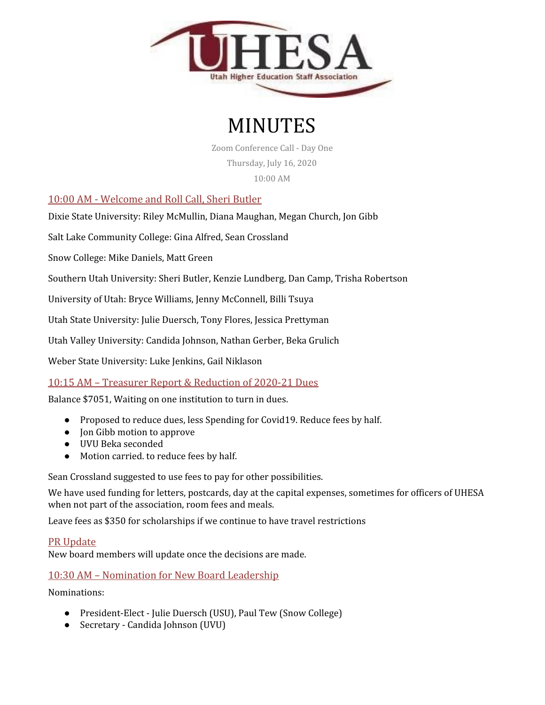

# MINUTES

Zoom Conference Call - Day One Thursday, July 16, 2020 10:00 AM

10:00 AM - Welcome and Roll Call, Sheri Butler

Dixie State University: Riley McMullin, Diana Maughan, Megan Church, Jon Gibb

Salt Lake Community College: Gina Alfred, Sean Crossland

Snow College: Mike Daniels, Matt Green

Southern Utah University: Sheri Butler, Kenzie Lundberg, Dan Camp, Trisha Robertson

University of Utah: Bryce Williams, Jenny McConnell, Billi Tsuya

Utah State University: Julie Duersch, Tony Flores, Jessica Prettyman

Utah Valley University: Candida Johnson, Nathan Gerber, Beka Grulich

Weber State University: Luke Jenkins, Gail Niklason

## 10:15 AM – Treasurer Report & Reduction of 2020-21 Dues

Balance \$7051, Waiting on one institution to turn in dues.

- Proposed to reduce dues, less Spending for Covid19. Reduce fees by half.
- Jon Gibb motion to approve
- UVU Beka seconded
- Motion carried. to reduce fees by half.

Sean Crossland suggested to use fees to pay for other possibilities.

We have used funding for letters, postcards, day at the capital expenses, sometimes for officers of UHESA when not part of the association, room fees and meals.

Leave fees as \$350 for scholarships if we continue to have travel restrictions

### PR Update

New board members will update once the decisions are made.

## 10:30 AM – Nomination for New Board Leadership

Nominations:

- President-Elect Julie Duersch (USU), Paul Tew (Snow College)
- Secretary Candida Johnson (UVU)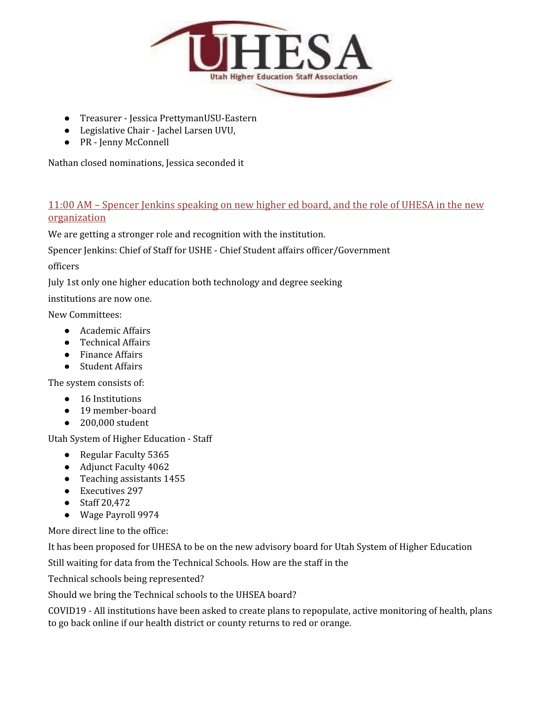

- Treasurer Jessica PrettymanUSU-Eastern
- Legislative Chair Jachel Larsen UVU,
- PR Jenny McConnell

Nathan closed nominations, Jessica seconded it

## 11:00 AM – Spencer Jenkins speaking on new higher ed board, and the role of UHESA in the new organization

We are getting a stronger role and recognition with the institution.

Spencer Jenkins: Chief of Staff for USHE - Chief Student affairs officer/Government

officers

July 1st only one higher education both technology and degree seeking

institutions are now one.

New Committees:

- Academic Affairs
- Technical Affairs
- Finance Affairs
- Student Affairs

The system consists of:

- 16 Institutions
- 19 member-board
- 200,000 student

Utah System of Higher Education - Staff

- Regular Faculty 5365
- Adjunct Faculty 4062
- Teaching assistants 1455
- Executives 297
- Staff 20,472
- Wage Payroll 9974

More direct line to the office:

It has been proposed for UHESA to be on the new advisory board for Utah System of Higher Education

Still waiting for data from the Technical Schools. How are the staff in the

Technical schools being represented?

Should we bring the Technical schools to the UHSEA board?

COVID19 - All institutions have been asked to create plans to repopulate, active monitoring of health, plans to go back online if our health district or county returns to red or orange.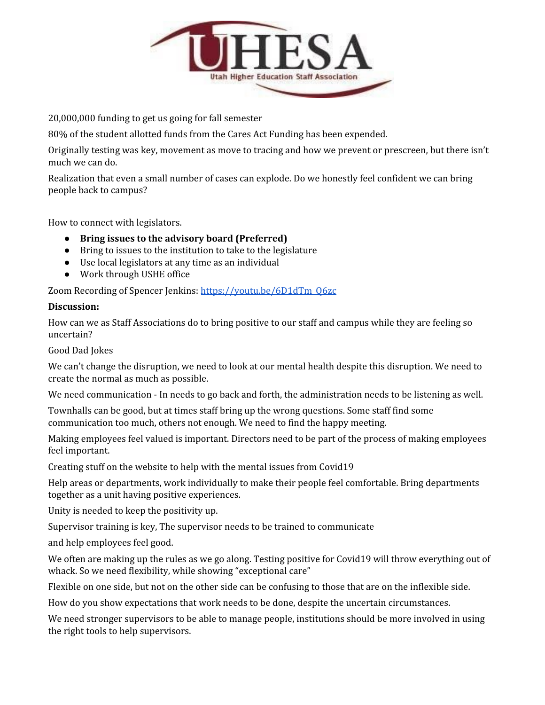

20,000,000 funding to get us going for fall semester

80% of the student allotted funds from the Cares Act Funding has been expended.

Originally testing was key, movement as move to tracing and how we prevent or prescreen, but there isn't much we can do.

Realization that even a small number of cases can explode. Do we honestly feel confident we can bring people back to campus?

How to connect with legislators.

- **● Bring issues to the advisory board (Preferred)**
- Bring to issues to the institution to take to the legislature
- Use local legislators at any time as an individual
- Work through USHE office

Zoom Recording of Spencer Jenkins: [https://youtu.be/6D1dTm\\_Q6zc](https://youtu.be/6D1dTm_Q6zc)

#### **Discussion:**

How can we as Staff Associations do to bring positive to our staff and campus while they are feeling so uncertain?

Good Dad Jokes

We can't change the disruption, we need to look at our mental health despite this disruption. We need to create the normal as much as possible.

We need communication - In needs to go back and forth, the administration needs to be listening as well.

Townhalls can be good, but at times staff bring up the wrong questions. Some staff find some communication too much, others not enough. We need to find the happy meeting.

Making employees feel valued is important. Directors need to be part of the process of making employees feel important.

Creating stuff on the website to help with the mental issues from Covid19

Help areas or departments, work individually to make their people feel comfortable. Bring departments together as a unit having positive experiences.

Unity is needed to keep the positivity up.

Supervisor training is key, The supervisor needs to be trained to communicate

and help employees feel good.

We often are making up the rules as we go along. Testing positive for Covid19 will throw everything out of whack. So we need flexibility, while showing "exceptional care"

Flexible on one side, but not on the other side can be confusing to those that are on the inflexible side.

How do you show expectations that work needs to be done, despite the uncertain circumstances.

We need stronger supervisors to be able to manage people, institutions should be more involved in using the right tools to help supervisors.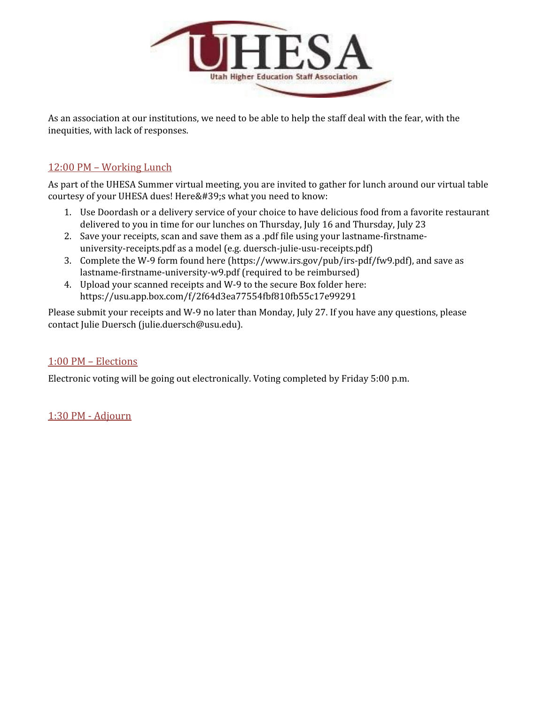

As an association at our institutions, we need to be able to help the staff deal with the fear, with the inequities, with lack of responses.

## 12:00 PM – Working Lunch

As part of the UHESA Summer virtual meeting, you are invited to gather for lunch around our virtual table courtesy of your UHESA dues! Here's what you need to know:

- 1. Use Doordash or a delivery service of your choice to have delicious food from a favorite restaurant delivered to you in time for our lunches on Thursday, July 16 and Thursday, July 23
- 2. Save your receipts, scan and save them as a .pdf file using your lastname-firstnameuniversity-receipts.pdf as a model (e.g. duersch-julie-usu-receipts.pdf)
- 3. Complete the W-9 form found here (https://www.irs.gov/pub/irs-pdf/fw9.pdf), and save as lastname-firstname-university-w9.pdf (required to be reimbursed)
- 4. Upload your scanned receipts and W-9 to the secure Box folder here: https://usu.app.box.com/f/2f64d3ea77554fbf810fb55c17e99291

Please submit your receipts and W-9 no later than Monday, July 27. If you have any questions, please contact Julie Duersch (julie.duersch@usu.edu).

## 1:00 PM – Elections

Electronic voting will be going out electronically. Voting completed by Friday 5:00 p.m.

1:30 PM - Adjourn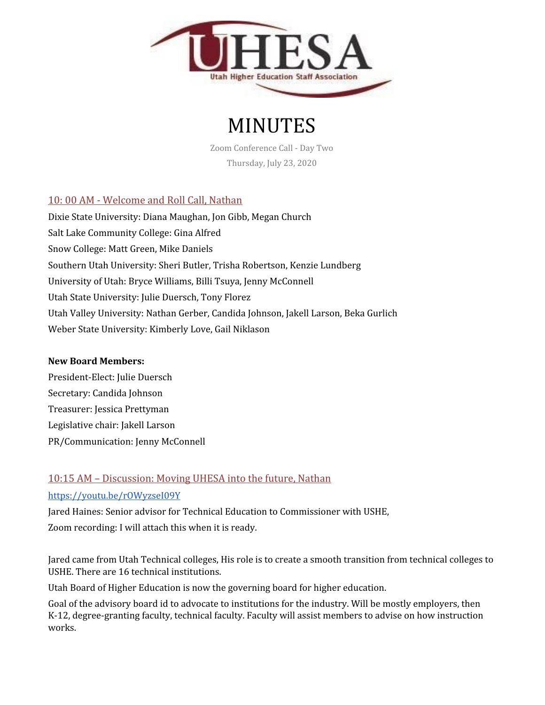

# MINUTES

Zoom Conference Call - Day Two Thursday, July 23, 2020

# 10: 00 AM - Welcome and Roll Call, Nathan

Dixie State University: Diana Maughan, Jon Gibb, Megan Church Salt Lake Community College: Gina Alfred Snow College: Matt Green, Mike Daniels Southern Utah University: Sheri Butler, Trisha Robertson, Kenzie Lundberg University of Utah: Bryce Williams, Billi Tsuya, Jenny McConnell Utah State University: Julie Duersch, Tony Florez Utah Valley University: Nathan Gerber, Candida Johnson, Jakell Larson, Beka Gurlich Weber State University: Kimberly Love, Gail Niklason

### **New Board Members:**

President-Elect: Julie Duersch Secretary: Candida Johnson Treasurer: Jessica Prettyman Legislative chair: Jakell Larson PR/Communication: Jenny McConnell

# 10:15 AM – Discussion: Moving UHESA into the future, Nathan

## <https://youtu.be/rOWyzseI09Y>

Jared Haines: Senior advisor for Technical Education to Commissioner with USHE, Zoom recording: I will attach this when it is ready.

Jared came from Utah Technical colleges, His role is to create a smooth transition from technical colleges to USHE. There are 16 technical institutions.

Utah Board of Higher Education is now the governing board for higher education.

Goal of the advisory board id to advocate to institutions for the industry. Will be mostly employers, then K-12, degree-granting faculty, technical faculty. Faculty will assist members to advise on how instruction works.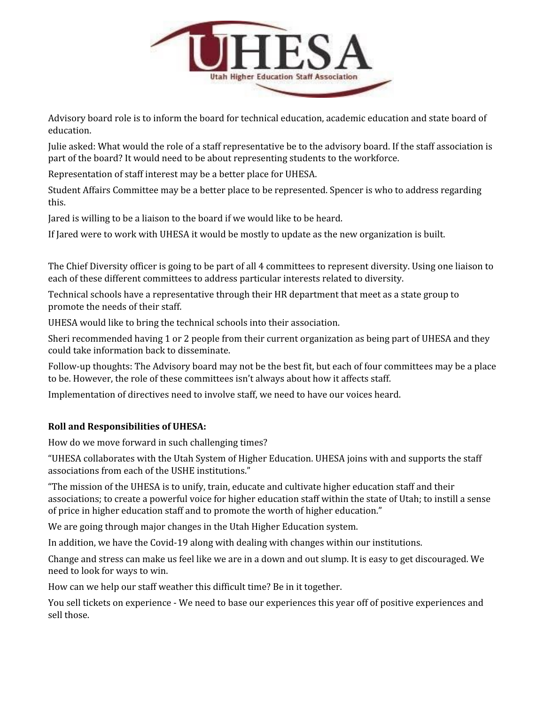

Advisory board role is to inform the board for technical education, academic education and state board of education.

Julie asked: What would the role of a staff representative be to the advisory board. If the staff association is part of the board? It would need to be about representing students to the workforce.

Representation of staff interest may be a better place for UHESA.

Student Affairs Committee may be a better place to be represented. Spencer is who to address regarding this.

Jared is willing to be a liaison to the board if we would like to be heard.

If Jared were to work with UHESA it would be mostly to update as the new organization is built.

The Chief Diversity officer is going to be part of all 4 committees to represent diversity. Using one liaison to each of these different committees to address particular interests related to diversity.

Technical schools have a representative through their HR department that meet as a state group to promote the needs of their staff.

UHESA would like to bring the technical schools into their association.

Sheri recommended having 1 or 2 people from their current organization as being part of UHESA and they could take information back to disseminate.

Follow-up thoughts: The Advisory board may not be the best fit, but each of four committees may be a place to be. However, the role of these committees isn't always about how it affects staff.

Implementation of directives need to involve staff, we need to have our voices heard.

## **Roll and Responsibilities of UHESA:**

How do we move forward in such challenging times?

"UHESA collaborates with the Utah System of Higher Education. UHESA joins with and supports the staff associations from each of the USHE institutions."

"The mission of the UHESA is to unify, train, educate and cultivate higher education staff and their associations; to create a powerful voice for higher education staff within the state of Utah; to instill a sense of price in higher education staff and to promote the worth of higher education."

We are going through major changes in the Utah Higher Education system.

In addition, we have the Covid-19 along with dealing with changes within our institutions.

Change and stress can make us feel like we are in a down and out slump. It is easy to get discouraged. We need to look for ways to win.

How can we help our staff weather this difficult time? Be in it together.

You sell tickets on experience - We need to base our experiences this year off of positive experiences and sell those.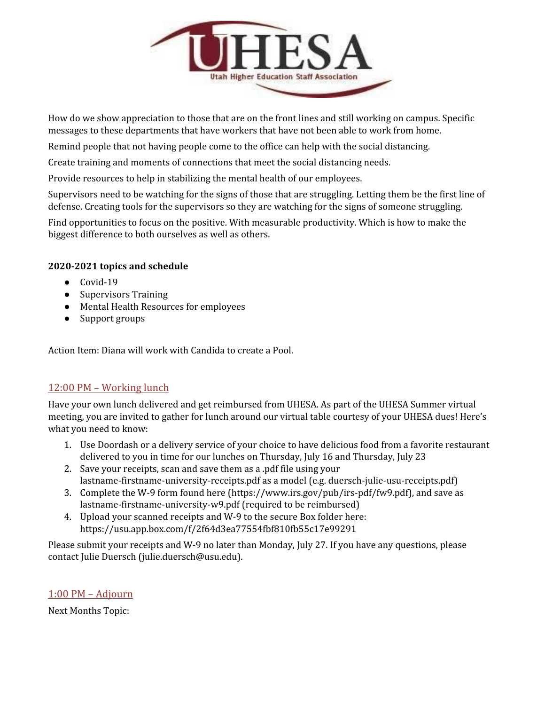

How do we show appreciation to those that are on the front lines and still working on campus. Specific messages to these departments that have workers that have not been able to work from home.

Remind people that not having people come to the office can help with the social distancing.

Create training and moments of connections that meet the social distancing needs.

Provide resources to help in stabilizing the mental health of our employees.

Supervisors need to be watching for the signs of those that are struggling. Letting them be the first line of defense. Creating tools for the supervisors so they are watching for the signs of someone struggling.

Find opportunities to focus on the positive. With measurable productivity. Which is how to make the biggest difference to both ourselves as well as others.

### **2020-2021 topics and schedule**

- $\bullet$  Covid-19
- Supervisors Training
- Mental Health Resources for employees
- Support groups

Action Item: Diana will work with Candida to create a Pool.

## 12:00 PM – Working lunch

Have your own lunch delivered and get reimbursed from UHESA. As part of the UHESA Summer virtual meeting, you are invited to gather for lunch around our virtual table courtesy of your UHESA dues! Here's what you need to know:

- 1. Use Doordash or a delivery service of your choice to have delicious food from a favorite restaurant delivered to you in time for our lunches on Thursday, July 16 and Thursday, July 23
- 2. Save your receipts, scan and save them as a .pdf file using your lastname-firstname-university-receipts.pdf as a model (e.g. duersch-julie-usu-receipts.pdf)
- 3. Complete the W-9 form found here (https://www.irs.gov/pub/irs-pdf/fw9.pdf), and save as lastname-firstname-university-w9.pdf (required to be reimbursed)
- 4. Upload your scanned receipts and W-9 to the secure Box folder here: https://usu.app.box.com/f/2f64d3ea77554fbf810fb55c17e99291

Please submit your receipts and W-9 no later than Monday, July 27. If you have any questions, please contact Julie Duersch (julie.duersch@usu.edu).

## 1:00 PM – Adjourn

Next Months Topic: